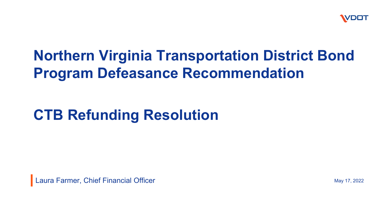

## **Northern Virginia Transportation District Bond Program Defeasance Recommendation**

# **CTB Refunding Resolution**

Laura Farmer, Chief Financial Officer

May 17, 2022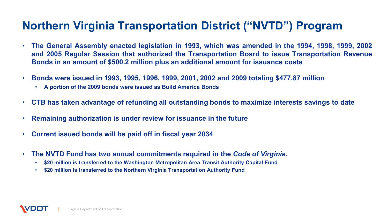#### **Northern Virginia Transportation District ("NVTD") Program**

- **The General Assembly enacted legislation in 1993, which was amended in the 1994, 1998, 1999, 2002 and 2005 Regular Session that authorized the Transportation Board to issue Transportation Revenue Bonds in an amount of \$500.2 million plus an additional amount for issuance costs**
- **Bonds were issued in 1993, 1995, 1996, 1999, 2001, 2002 and 2009 totaling \$477.87 million**
	- **A portion of the 2009 bonds were issued as Build America Bonds**
- **CTB has taken advantage of refunding all outstanding bonds to maximize interests savings to date**
- **Remaining authorization is under review for issuance in the future**
- **Current issued bonds will be paid off in fiscal year 2034**
- **The NVTD Fund has two annual commitments required in the** *Code of Virginia.*
	- **\$20 million is transferred to the Washington Metropolitan Area Transit Authority Capital Fund**
	- **\$20 million is transferred to the Northern Virginia Transportation Authority Fund**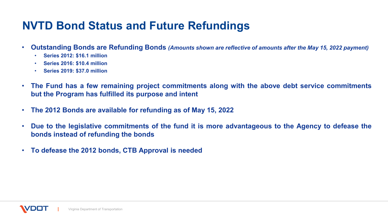#### **NVTD Bond Status and Future Refundings**

- Outstanding Bonds are Refunding Bonds (Amounts shown are reflective of amounts after the May 15, 2022 payment)
	- **Series 2012: \$16.1 million**
	- **Series 2016: \$10.4 million**
	- **Series 2019: \$37.0 million**
- **The Fund has a few remaining project commitments along with the above debt service commitments but the Program has fulfilled its purpose and intent**
- **The 2012 Bonds are available for refunding as of May 15, 2022**
- Due to the legislative commitments of the fund it is more advantageous to the Agency to defease the **bonds instead of refunding the bonds**
- **To defease the 2012 bonds, CTB Approval is needed**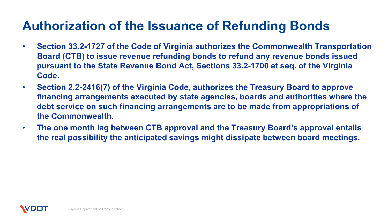## **Authorization of the Issuance of Refunding Bonds**

- **Section 33.2-1727 of the Code of Virginia authorizes the Commonwealth Transportation Board (CTB) to issue revenue refunding bonds to refund any revenue bonds issued pursuant to the State Revenue Bond Act, Sections 33.2-1700 et seq. of the Virginia Code.**
- **Section 2.2-2416(7) of the Virginia Code, authorizes the Treasury Board to approve financing arrangements executed by state agencies, boards and authorities where the debt service on such financing arrangements are to be made from appropriations of the Commonwealth.**
- **The one month lag between CTB approval and the Treasury Board's approval entails the real possibility the anticipated savings might dissipate between board meetings.**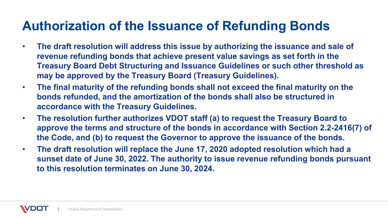## **Authorization of the Issuance of Refunding Bonds**

- **The draft resolution will address this issue by authorizing the issuance and sale of revenue refunding bonds that achieve present value savings as set forth in the Treasury Board Debt Structuring and Issuance Guidelines or such other threshold as may be approved by the Treasury Board (Treasury Guidelines).**
- **The final maturity of the refunding bonds shall not exceed the final maturity on the bonds refunded, and the amortization of the bonds shall also be structured in accordance with the Treasury Guidelines.**
- **The resolution further authorizes VDOT staff (a) to request the Treasury Board to approve the terms and structure of the bonds in accordance with Section 2.2-2416(7) of the Code, and (b) to request the Governor to approve the issuance of the bonds.**
- **The draft resolution will replace the June 17, 2020 adopted resolution which had a sunset date of June 30, 2022. The authority to issue revenue refunding bonds pursuant to this resolution terminates on June 30, 2024.**